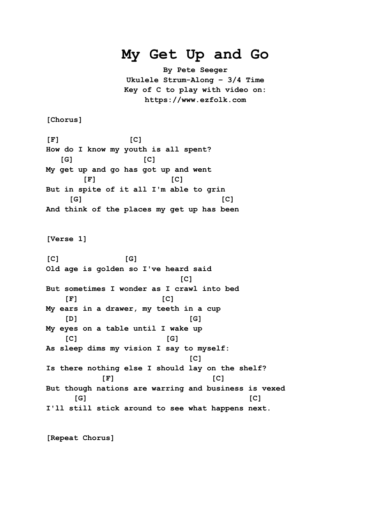## **My Get Up and Go**

**By Pete Seeger Ukulele Strum-Along – 3/4 Time Key of C to play with video on: https://www.ezfolk.com**

**[Chorus]**

**[F] [C] How do I know my youth is all spent? [G] [C] My get up and go has got up and went [F] [C] But in spite of it all I'm able to grin [G] [C] And think of the places my get up has been**

**[Verse 1]**

**[C] [G] Old age is golden so I've heard said**  $[{\mathsf C}]$ **But sometimes I wonder as I crawl into bed [F] [C] My ears in a drawer, my teeth in a cup [D] [G] My eyes on a table until I wake up [C] [G] As sleep dims my vision I say to myself: [C] Is there nothing else I should lay on the shelf? [F] [C] But though nations are warring and business is vexed [G] [C] I'll still stick around to see what happens next.**

**[Repeat Chorus]**